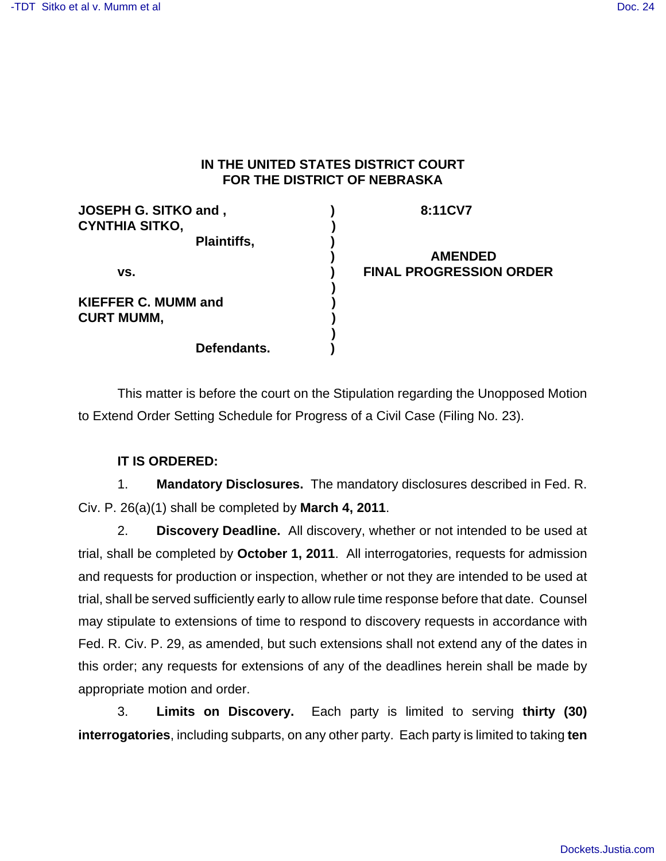## **IN THE UNITED STATES DISTRICT COURT FOR THE DISTRICT OF NEBRASKA**

| <b>JOSEPH G. SITKO and,</b><br><b>CYNTHIA SITKO,</b> | 8:11CV7                        |
|------------------------------------------------------|--------------------------------|
| Plaintiffs,                                          |                                |
|                                                      | <b>AMENDED</b>                 |
| VS.                                                  | <b>FINAL PROGRESSION ORDER</b> |
| <b>KIEFFER C. MUMM and</b>                           |                                |
| <b>CURT MUMM,</b>                                    |                                |
| Defendants.                                          |                                |

This matter is before the court on the Stipulation regarding the Unopposed Motion to Extend Order Setting Schedule for Progress of a Civil Case (Filing No. 23).

## **IT IS ORDERED:**

1. **Mandatory Disclosures.** The mandatory disclosures described in Fed. R. Civ. P. 26(a)(1) shall be completed by **March 4, 2011**.

2. **Discovery Deadline.** All discovery, whether or not intended to be used at trial, shall be completed by **October 1, 2011**. All interrogatories, requests for admission and requests for production or inspection, whether or not they are intended to be used at trial, shall be served sufficiently early to allow rule time response before that date. Counsel may stipulate to extensions of time to respond to discovery requests in accordance with Fed. R. Civ. P. 29, as amended, but such extensions shall not extend any of the dates in this order; any requests for extensions of any of the deadlines herein shall be made by appropriate motion and order.

3. **Limits on Discovery.** Each party is limited to serving **thirty (30) interrogatories**, including subparts, on any other party. Each party is limited to taking **ten**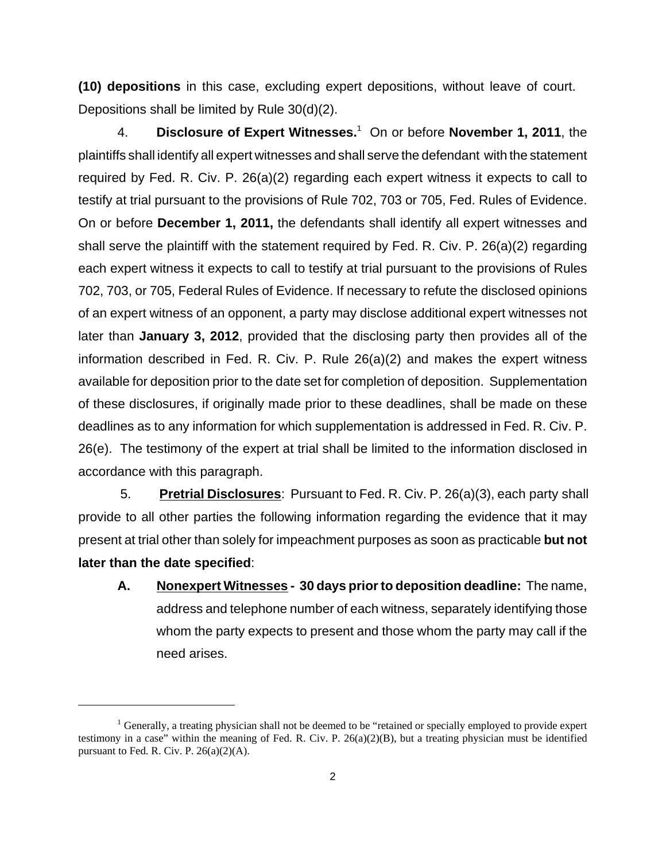**(10) depositions** in this case, excluding expert depositions, without leave of court. Depositions shall be limited by Rule 30(d)(2).

4. **Disclosure of Expert Witnesses.**<sup>1</sup> On or before November 1, 2011, the plaintiffs shall identify all expert witnesses and shall serve the defendant with the statement required by Fed. R. Civ. P. 26(a)(2) regarding each expert witness it expects to call to testify at trial pursuant to the provisions of Rule 702, 703 or 705, Fed. Rules of Evidence. On or before **December 1, 2011,** the defendants shall identify all expert witnesses and shall serve the plaintiff with the statement required by Fed. R. Civ. P. 26(a)(2) regarding each expert witness it expects to call to testify at trial pursuant to the provisions of Rules 702, 703, or 705, Federal Rules of Evidence. If necessary to refute the disclosed opinions of an expert witness of an opponent, a party may disclose additional expert witnesses not later than **January 3, 2012**, provided that the disclosing party then provides all of the information described in Fed. R. Civ. P. Rule 26(a)(2) and makes the expert witness available for deposition prior to the date set for completion of deposition. Supplementation of these disclosures, if originally made prior to these deadlines, shall be made on these deadlines as to any information for which supplementation is addressed in Fed. R. Civ. P. 26(e). The testimony of the expert at trial shall be limited to the information disclosed in accordance with this paragraph.

 5. **Pretrial Disclosures**: Pursuant to Fed. R. Civ. P. 26(a)(3), each party shall provide to all other parties the following information regarding the evidence that it may present at trial other than solely for impeachment purposes as soon as practicable **but not later than the date specified**:

**A. Nonexpert Witnesses - 30 days prior to deposition deadline:** The name, address and telephone number of each witness, separately identifying those whom the party expects to present and those whom the party may call if the need arises.

 $<sup>1</sup>$  Generally, a treating physician shall not be deemed to be "retained or specially employed to provide expert</sup> testimony in a case" within the meaning of Fed. R. Civ. P.  $26(a)(2)(B)$ , but a treating physician must be identified pursuant to Fed. R. Civ. P.  $26(a)(2)(A)$ .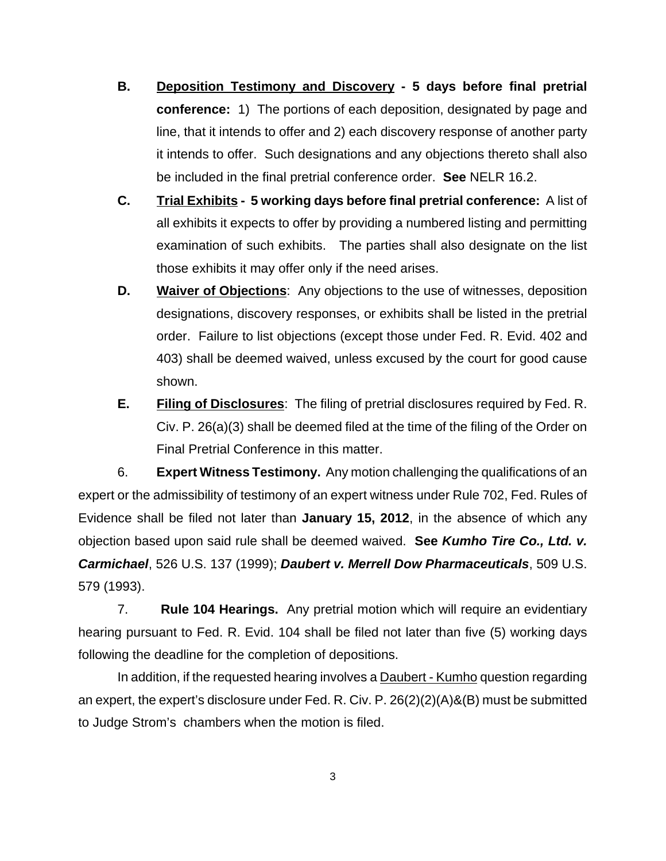- **B. Deposition Testimony and Discovery 5 days before final pretrial conference:** 1) The portions of each deposition, designated by page and line, that it intends to offer and 2) each discovery response of another party it intends to offer. Such designations and any objections thereto shall also be included in the final pretrial conference order. **See** NELR 16.2.
- **C. Trial Exhibits 5 working days before final pretrial conference:** A list of all exhibits it expects to offer by providing a numbered listing and permitting examination of such exhibits. The parties shall also designate on the list those exhibits it may offer only if the need arises.
- **D. Waiver of Objections**: Any objections to the use of witnesses, deposition designations, discovery responses, or exhibits shall be listed in the pretrial order. Failure to list objections (except those under Fed. R. Evid. 402 and 403) shall be deemed waived, unless excused by the court for good cause shown.
- **E. Filing of Disclosures**: The filing of pretrial disclosures required by Fed. R. Civ. P. 26(a)(3) shall be deemed filed at the time of the filing of the Order on Final Pretrial Conference in this matter.

6. **Expert Witness Testimony.** Any motion challenging the qualifications of an expert or the admissibility of testimony of an expert witness under Rule 702, Fed. Rules of Evidence shall be filed not later than **January 15, 2012**, in the absence of which any objection based upon said rule shall be deemed waived. **See Kumho Tire Co., Ltd. v. Carmichael**, 526 U.S. 137 (1999); **Daubert v. Merrell Dow Pharmaceuticals**, 509 U.S. 579 (1993).

7. **Rule 104 Hearings.** Any pretrial motion which will require an evidentiary hearing pursuant to Fed. R. Evid. 104 shall be filed not later than five (5) working days following the deadline for the completion of depositions.

In addition, if the requested hearing involves a Daubert - Kumho question regarding an expert, the expert's disclosure under Fed. R. Civ. P. 26(2)(2)(A)&(B) must be submitted to Judge Strom's chambers when the motion is filed.